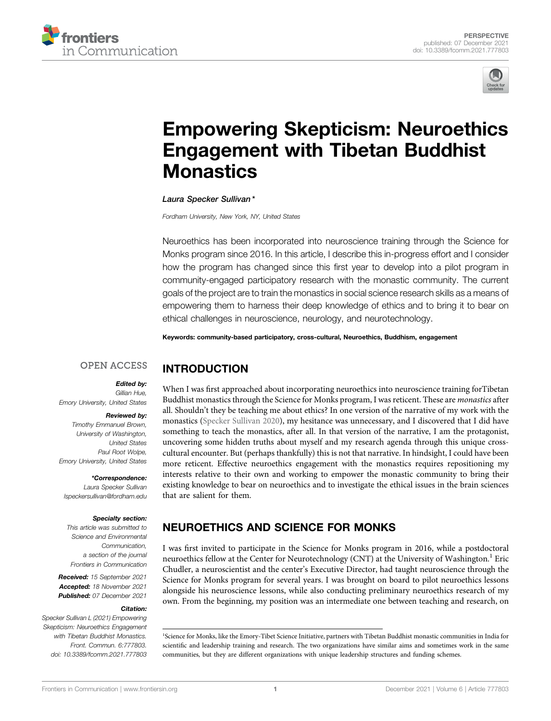



# [Empowering Skepticism: Neuroethics](https://www.frontiersin.org/articles/10.3389/fcomm.2021.777803/full) [Engagement with Tibetan Buddhist](https://www.frontiersin.org/articles/10.3389/fcomm.2021.777803/full) **[Monastics](https://www.frontiersin.org/articles/10.3389/fcomm.2021.777803/full)**

Laura Specker Sullivan \*

INTRODUCTION

Fordham University, New York, NY, United States

Neuroethics has been incorporated into neuroscience training through the Science for Monks program since 2016. In this article, I describe this in-progress effort and I consider how the program has changed since this first year to develop into a pilot program in community-engaged participatory research with the monastic community. The current goals of the project are to train the monastics in social science research skills as a means of empowering them to harness their deep knowledge of ethics and to bring it to bear on ethical challenges in neuroscience, neurology, and neurotechnology.

Keywords: community-based participatory, cross-cultural, Neuroethics, Buddhism, engagement

#### **OPEN ACCESS**

#### Edited by:

Gillian Hue, Emory University, United States

#### Reviewed by:

Timothy Emmanuel Brown, University of Washington, United States Paul Root Wolpe, Emory University, United States

#### \*Correspondence:

Laura Specker Sullivan [lspeckersullivan@fordham.edu](mailto:lspeckersullivan@fordham.edu)

#### Specialty section:

This article was submitted to Science and Environmental Communication, a section of the journal Frontiers in Communication

Received: 15 September 2021 Accepted: 18 November 2021 Published: 07 December 2021

#### Citation:

Specker Sullivan L (2021) Empowering Skepticism: Neuroethics Engagement with Tibetan Buddhist Monastics. Front. Commun. 6:777803. doi: [10.3389/fcomm.2021.777803](https://doi.org/10.3389/fcomm.2021.777803) When I was first approached about incorporating neuroethics into neuroscience training forTibetan Buddhist monastics through the Science for Monks program, I was reticent. These are monastics after all. Shouldn't they be teaching me about ethics? In one version of the narrative of my work with the monastics [\(Specker Sullivan 2020](#page-4-0)), my hesitance was unnecessary, and I discovered that I did have something to teach the monastics, after all. In that version of the narrative, I am the protagonist, uncovering some hidden truths about myself and my research agenda through this unique crosscultural encounter. But (perhaps thankfully) this is not that narrative. In hindsight, I could have been more reticent. Effective neuroethics engagement with the monastics requires repositioning my interests relative to their own and working to empower the monastic community to bring their existing knowledge to bear on neuroethics and to investigate the ethical issues in the brain sciences that are salient for them.

# NEUROETHICS AND SCIENCE FOR MONKS

I was first invited to participate in the Science for Monks program in 2016, while a postdoctoral neuroethics fellow at the Center for Neurotechnology (CNT) at the University of Washington.<sup>1</sup> Eric Chudler, a neuroscientist and the center's Executive Director, had taught neuroscience through the Science for Monks program for several years. I was brought on board to pilot neuroethics lessons alongside his neuroscience lessons, while also conducting preliminary neuroethics research of my own. From the beginning, my position was an intermediate one between teaching and research, on

<sup>&</sup>lt;sup>1</sup>Science for Monks, like the Emory-Tibet Science Initiative, partners with Tibetan Buddhist monastic communities in India for scientific and leadership training and research. The two organizations have similar aims and sometimes work in the same communities, but they are different organizations with unique leadership structures and funding schemes.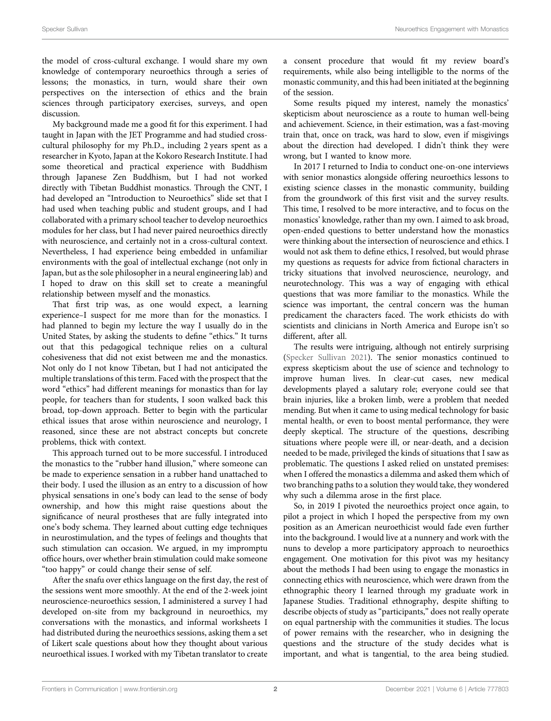the model of cross-cultural exchange. I would share my own knowledge of contemporary neuroethics through a series of lessons; the monastics, in turn, would share their own perspectives on the intersection of ethics and the brain sciences through participatory exercises, surveys, and open discussion.

My background made me a good fit for this experiment. I had taught in Japan with the JET Programme and had studied crosscultural philosophy for my Ph.D., including 2 years spent as a researcher in Kyoto, Japan at the Kokoro Research Institute. I had some theoretical and practical experience with Buddhism through Japanese Zen Buddhism, but I had not worked directly with Tibetan Buddhist monastics. Through the CNT, I had developed an "Introduction to Neuroethics" slide set that I had used when teaching public and student groups, and I had collaborated with a primary school teacher to develop neuroethics modules for her class, but I had never paired neuroethics directly with neuroscience, and certainly not in a cross-cultural context. Nevertheless, I had experience being embedded in unfamiliar environments with the goal of intellectual exchange (not only in Japan, but as the sole philosopher in a neural engineering lab) and I hoped to draw on this skill set to create a meaningful relationship between myself and the monastics.

That first trip was, as one would expect, a learning experience–I suspect for me more than for the monastics. I had planned to begin my lecture the way I usually do in the United States, by asking the students to define "ethics." It turns out that this pedagogical technique relies on a cultural cohesiveness that did not exist between me and the monastics. Not only do I not know Tibetan, but I had not anticipated the multiple translations of this term. Faced with the prospect that the word "ethics" had different meanings for monastics than for lay people, for teachers than for students, I soon walked back this broad, top-down approach. Better to begin with the particular ethical issues that arose within neuroscience and neurology, I reasoned, since these are not abstract concepts but concrete problems, thick with context.

This approach turned out to be more successful. I introduced the monastics to the "rubber hand illusion," where someone can be made to experience sensation in a rubber hand unattached to their body. I used the illusion as an entry to a discussion of how physical sensations in one's body can lead to the sense of body ownership, and how this might raise questions about the significance of neural prostheses that are fully integrated into one's body schema. They learned about cutting edge techniques in neurostimulation, and the types of feelings and thoughts that such stimulation can occasion. We argued, in my impromptu office hours, over whether brain stimulation could make someone "too happy" or could change their sense of self.

After the snafu over ethics language on the first day, the rest of the sessions went more smoothly. At the end of the 2-week joint neuroscience-neuroethics session, I administered a survey I had developed on-site from my background in neuroethics, my conversations with the monastics, and informal worksheets I had distributed during the neuroethics sessions, asking them a set of Likert scale questions about how they thought about various neuroethical issues. I worked with my Tibetan translator to create

a consent procedure that would fit my review board's requirements, while also being intelligible to the norms of the monastic community, and this had been initiated at the beginning of the session.

Some results piqued my interest, namely the monastics' skepticism about neuroscience as a route to human well-being and achievement. Science, in their estimation, was a fast-moving train that, once on track, was hard to slow, even if misgivings about the direction had developed. I didn't think they were wrong, but I wanted to know more.

In 2017 I returned to India to conduct one-on-one interviews with senior monastics alongside offering neuroethics lessons to existing science classes in the monastic community, building from the groundwork of this first visit and the survey results. This time, I resolved to be more interactive, and to focus on the monastics' knowledge, rather than my own. I aimed to ask broad, open-ended questions to better understand how the monastics were thinking about the intersection of neuroscience and ethics. I would not ask them to define ethics, I resolved, but would phrase my questions as requests for advice from fictional characters in tricky situations that involved neuroscience, neurology, and neurotechnology. This was a way of engaging with ethical questions that was more familiar to the monastics. While the science was important, the central concern was the human predicament the characters faced. The work ethicists do with scientists and clinicians in North America and Europe isn't so different, after all.

The results were intriguing, although not entirely surprising [\(Specker Sullivan 2021](#page-4-1)). The senior monastics continued to express skepticism about the use of science and technology to improve human lives. In clear-cut cases, new medical developments played a salutary role; everyone could see that brain injuries, like a broken limb, were a problem that needed mending. But when it came to using medical technology for basic mental health, or even to boost mental performance, they were deeply skeptical. The structure of the questions, describing situations where people were ill, or near-death, and a decision needed to be made, privileged the kinds of situations that I saw as problematic. The questions I asked relied on unstated premises: when I offered the monastics a dilemma and asked them which of two branching paths to a solution they would take, they wondered why such a dilemma arose in the first place.

So, in 2019 I pivoted the neuroethics project once again, to pilot a project in which I hoped the perspective from my own position as an American neuroethicist would fade even further into the background. I would live at a nunnery and work with the nuns to develop a more participatory approach to neuroethics engagement. One motivation for this pivot was my hesitancy about the methods I had been using to engage the monastics in connecting ethics with neuroscience, which were drawn from the ethnographic theory I learned through my graduate work in Japanese Studies. Traditional ethnography, despite shifting to describe objects of study as "participants," does not really operate on equal partnership with the communities it studies. The locus of power remains with the researcher, who in designing the questions and the structure of the study decides what is important, and what is tangential, to the area being studied.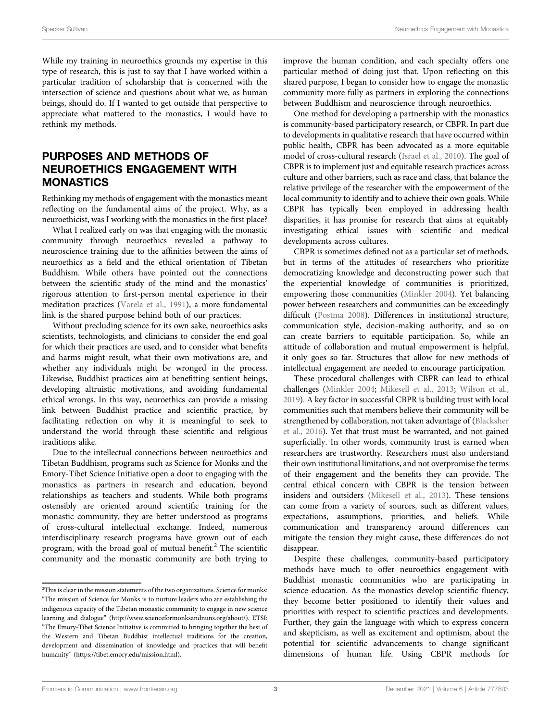While my training in neuroethics grounds my expertise in this type of research, this is just to say that I have worked within a particular tradition of scholarship that is concerned with the intersection of science and questions about what we, as human beings, should do. If I wanted to get outside that perspective to appreciate what mattered to the monastics, I would have to rethink my methods.

### PURPOSES AND METHODS OF NEUROETHICS ENGAGEMENT WITH **MONASTICS**

Rethinking my methods of engagement with the monastics meant reflecting on the fundamental aims of the project. Why, as a neuroethicist, was I working with the monastics in the first place?

What I realized early on was that engaging with the monastic community through neuroethics revealed a pathway to neuroscience training due to the affinities between the aims of neuroethics as a field and the ethical orientation of Tibetan Buddhism. While others have pointed out the connections between the scientific study of the mind and the monastics' rigorous attention to first-person mental experience in their meditation practices [\(Varela et al., 1991](#page-4-2)), a more fundamental link is the shared purpose behind both of our practices.

Without precluding science for its own sake, neuroethics asks scientists, technologists, and clinicians to consider the end goal for which their practices are used, and to consider what benefits and harms might result, what their own motivations are, and whether any individuals might be wronged in the process. Likewise, Buddhist practices aim at benefitting sentient beings, developing altruistic motivations, and avoiding fundamental ethical wrongs. In this way, neuroethics can provide a missing link between Buddhist practice and scientific practice, by facilitating reflection on why it is meaningful to seek to understand the world through these scientific and religious traditions alike.

Due to the intellectual connections between neuroethics and Tibetan Buddhism, programs such as Science for Monks and the Emory-Tibet Science Initiative open a door to engaging with the monastics as partners in research and education, beyond relationships as teachers and students. While both programs ostensibly are oriented around scientific training for the monastic community, they are better understood as programs of cross-cultural intellectual exchange. Indeed, numerous interdisciplinary research programs have grown out of each program, with the broad goal of mutual benefit. $^{2}$  The scientific community and the monastic community are both trying to

improve the human condition, and each specialty offers one particular method of doing just that. Upon reflecting on this shared purpose, I began to consider how to engage the monastic community more fully as partners in exploring the connections between Buddhism and neuroscience through neuroethics.

One method for developing a partnership with the monastics is community-based participatory research, or CBPR. In part due to developments in qualitative research that have occurred within public health, CBPR has been advocated as a more equitable model of cross-cultural research [\(Israel et al., 2010\)](#page-3-0). The goal of CBPR is to implement just and equitable research practices across culture and other barriers, such as race and class, that balance the relative privilege of the researcher with the empowerment of the local community to identify and to achieve their own goals. While CBPR has typically been employed in addressing health disparities, it has promise for research that aims at equitably investigating ethical issues with scientific and medical developments across cultures.

CBPR is sometimes defined not as a particular set of methods, but in terms of the attitudes of researchers who prioritize democratizing knowledge and deconstructing power such that the experiential knowledge of communities is prioritized, empowering those communities [\(Minkler 2004](#page-4-3)). Yet balancing power between researchers and communities can be exceedingly difficult [\(Postma 2008](#page-4-4)). Differences in institutional structure, communication style, decision-making authority, and so on can create barriers to equitable participation. So, while an attitude of collaboration and mutual empowerment is helpful, it only goes so far. Structures that allow for new methods of intellectual engagement are needed to encourage participation.

These procedural challenges with CBPR can lead to ethical challenges [\(Minkler 2004;](#page-4-3) [Mikesell et al., 2013;](#page-3-1) [Wilson et al.,](#page-4-5) [2019](#page-4-5)). A key factor in successful CBPR is building trust with local communities such that members believe their community will be strengthened by collaboration, not taken advantage of [\(Blacksher](#page-3-2) [et al., 2016\)](#page-3-2). Yet that trust must be warranted, and not gained superficially. In other words, community trust is earned when researchers are trustworthy. Researchers must also understand their own institutional limitations, and not overpromise the terms of their engagement and the benefits they can provide. The central ethical concern with CBPR is the tension between insiders and outsiders ([Mikesell et al., 2013](#page-3-1)). These tensions can come from a variety of sources, such as different values, expectations, assumptions, priorities, and beliefs. While communication and transparency around differences can mitigate the tension they might cause, these differences do not disappear.

Despite these challenges, community-based participatory methods have much to offer neuroethics engagement with Buddhist monastic communities who are participating in science education. As the monastics develop scientific fluency, they become better positioned to identify their values and priorities with respect to scientific practices and developments. Further, they gain the language with which to express concern and skepticism, as well as excitement and optimism, about the potential for scientific advancements to change significant dimensions of human life. Using CBPR methods for

<sup>&</sup>lt;sup>2</sup>This is clear in the mission statements of the two organizations. Science for monks: "The mission of Science for Monks is to nurture leaders who are establishing the indigenous capacity of the Tibetan monastic community to engage in new science learning and dialogue" ([http://www.scienceformonksandnuns.org/about/\)](http://www.scienceformonksandnuns.org/about/). ETSI: "The Emory-Tibet Science Initiative is committed to bringing together the best of the Western and Tibetan Buddhist intellectual traditions for the creation, development and dissemination of knowledge and practices that will benefit humanity" [\(https://tibet.emory.edu/mission.html\)](https://tibet.emory.edu/mission.html).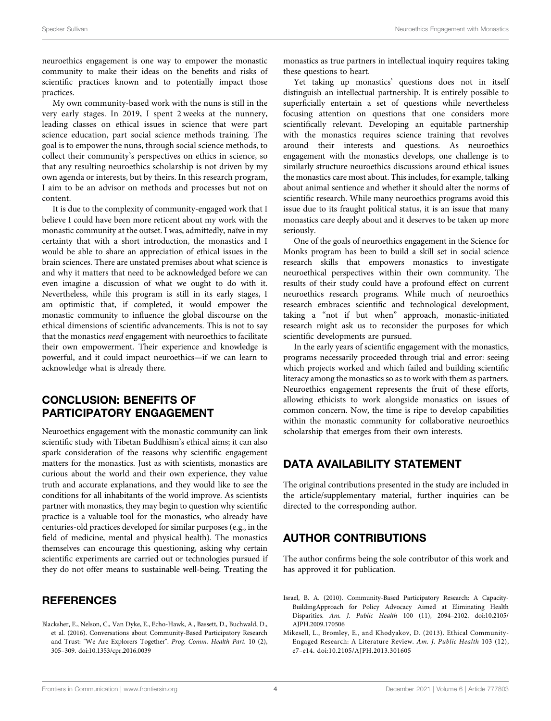neuroethics engagement is one way to empower the monastic community to make their ideas on the benefits and risks of scientific practices known and to potentially impact those practices.

My own community-based work with the nuns is still in the very early stages. In 2019, I spent 2 weeks at the nunnery, leading classes on ethical issues in science that were part science education, part social science methods training. The goal is to empower the nuns, through social science methods, to collect their community's perspectives on ethics in science, so that any resulting neuroethics scholarship is not driven by my own agenda or interests, but by theirs. In this research program, I aim to be an advisor on methods and processes but not on content.

It is due to the complexity of community-engaged work that I believe I could have been more reticent about my work with the monastic community at the outset. I was, admittedly, naïve in my certainty that with a short introduction, the monastics and I would be able to share an appreciation of ethical issues in the brain sciences. There are unstated premises about what science is and why it matters that need to be acknowledged before we can even imagine a discussion of what we ought to do with it. Nevertheless, while this program is still in its early stages, I am optimistic that, if completed, it would empower the monastic community to influence the global discourse on the ethical dimensions of scientific advancements. This is not to say that the monastics need engagement with neuroethics to facilitate their own empowerment. Their experience and knowledge is powerful, and it could impact neuroethics—if we can learn to acknowledge what is already there.

## CONCLUSION: BENEFITS OF PARTICIPATORY ENGAGEMENT

Neuroethics engagement with the monastic community can link scientific study with Tibetan Buddhism's ethical aims; it can also spark consideration of the reasons why scientific engagement matters for the monastics. Just as with scientists, monastics are curious about the world and their own experience, they value truth and accurate explanations, and they would like to see the conditions for all inhabitants of the world improve. As scientists partner with monastics, they may begin to question why scientific practice is a valuable tool for the monastics, who already have centuries-old practices developed for similar purposes (e.g., in the field of medicine, mental and physical health). The monastics themselves can encourage this questioning, asking why certain scientific experiments are carried out or technologies pursued if they do not offer means to sustainable well-being. Treating the

### **REFERENCES**

<span id="page-3-2"></span>Blacksher, E., Nelson, C., Van Dyke, E., Echo-Hawk, A., Bassett, D., Buchwald, D., et al. (2016). Conversations about Community-Based Participatory Research and Trust: "We Are Explorers Together". Prog. Comm. Health Part. 10 (2), 305–309. doi:[10.1353/cpr.2016.0039](https://doi.org/10.1353/cpr.2016.0039)

monastics as true partners in intellectual inquiry requires taking these questions to heart.

Yet taking up monastics' questions does not in itself distinguish an intellectual partnership. It is entirely possible to superficially entertain a set of questions while nevertheless focusing attention on questions that one considers more scientifically relevant. Developing an equitable partnership with the monastics requires science training that revolves around their interests and questions. As neuroethics engagement with the monastics develops, one challenge is to similarly structure neuroethics discussions around ethical issues the monastics care most about. This includes, for example, talking about animal sentience and whether it should alter the norms of scientific research. While many neuroethics programs avoid this issue due to its fraught political status, it is an issue that many monastics care deeply about and it deserves to be taken up more seriously.

One of the goals of neuroethics engagement in the Science for Monks program has been to build a skill set in social science research skills that empowers monastics to investigate neuroethical perspectives within their own community. The results of their study could have a profound effect on current neuroethics research programs. While much of neuroethics research embraces scientific and technological development, taking a "not if but when" approach, monastic-initiated research might ask us to reconsider the purposes for which scientific developments are pursued.

In the early years of scientific engagement with the monastics, programs necessarily proceeded through trial and error: seeing which projects worked and which failed and building scientific literacy among the monastics so as to work with them as partners. Neuroethics engagement represents the fruit of these efforts, allowing ethicists to work alongside monastics on issues of common concern. Now, the time is ripe to develop capabilities within the monastic community for collaborative neuroethics scholarship that emerges from their own interests.

### DATA AVAILABILITY STATEMENT

The original contributions presented in the study are included in the article/supplementary material, further inquiries can be directed to the corresponding author.

### AUTHOR CONTRIBUTIONS

The author confirms being the sole contributor of this work and has approved it for publication.

- <span id="page-3-0"></span>Israel, B. A. (2010). Community-Based Participatory Research: A Capacity-BuildingApproach for Policy Advocacy Aimed at Eliminating Health Disparities. Am. J. Public Health 100 (11), 2094–2102. doi[:10.2105/](https://doi.org/10.2105/AJPH.2009.170506) [AJPH.2009.170506](https://doi.org/10.2105/AJPH.2009.170506)
- <span id="page-3-1"></span>Mikesell, L., Bromley, E., and Khodyakov, D. (2013). Ethical Community-Engaged Research: A Literature Review. Am. J. Public Health 103 (12), e7–e14. doi:[10.2105/AJPH.2013.301605](https://doi.org/10.2105/AJPH.2013.301605)